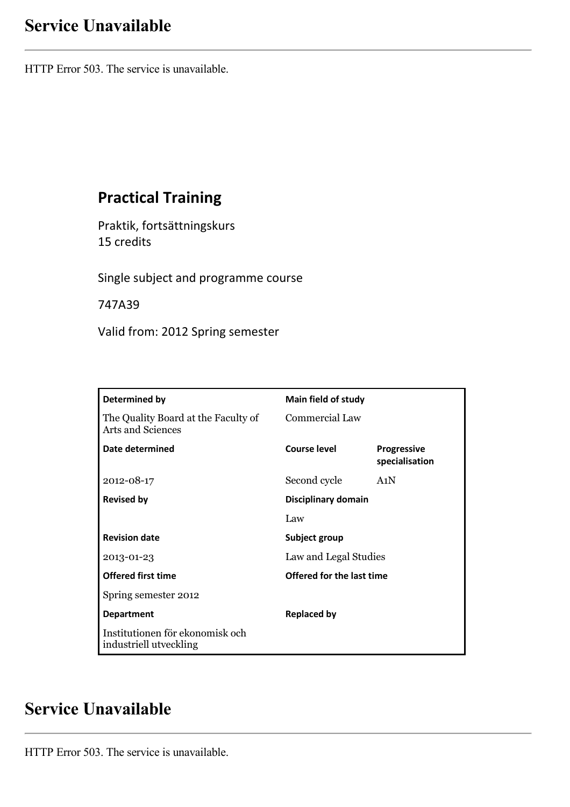# **Service Unavailable**

HTTP Error 503. The service is unavailable.

## **Practical Training**

Praktik, fortsättningskurs 15 credits

Single subject and programme course

747A39

Valid from: 2012 Spring semester

| Determined by                                                   | <b>Main field of study</b> |                                      |
|-----------------------------------------------------------------|----------------------------|--------------------------------------|
| The Quality Board at the Faculty of<br><b>Arts and Sciences</b> | <b>Commercial Law</b>      |                                      |
| Date determined                                                 | Course level               | <b>Progressive</b><br>specialisation |
| 2012-08-17                                                      | Second cycle               | A1N                                  |
| <b>Revised by</b>                                               | Disciplinary domain        |                                      |
|                                                                 | Law                        |                                      |
| <b>Revision date</b>                                            | Subject group              |                                      |
| 2013-01-23                                                      | Law and Legal Studies      |                                      |
| <b>Offered first time</b>                                       | Offered for the last time  |                                      |
| Spring semester 2012                                            |                            |                                      |
| <b>Department</b>                                               | <b>Replaced by</b>         |                                      |
| Institutionen för ekonomisk och<br>industriell utveckling       |                            |                                      |

## **Service Unavailable**

HTTP Error 503. The service is unavailable.